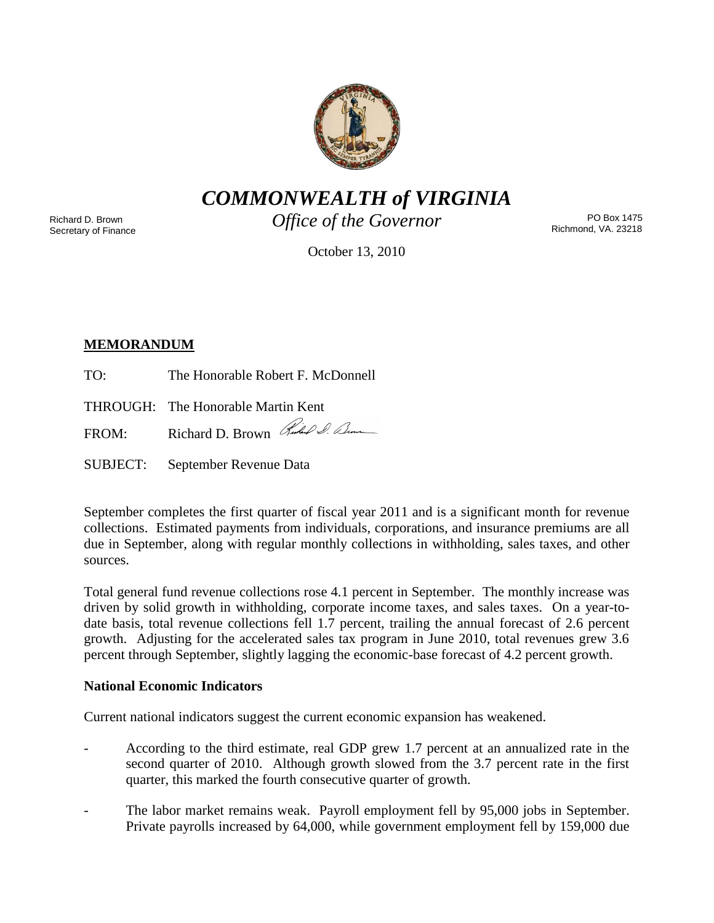

*COMMONWEALTH of VIRGINIA*

Richard D. Brown Secretary of Finance *Office of the Governor*

PO Box 1475 Richmond, VA. 23218

October 13, 2010

# **MEMORANDUM**

TO: The Honorable Robert F. McDonnell

THROUGH: The Honorable Martin Kent

FROM: Richard D. Brown Rules & Com

SUBJECT: September Revenue Data

September completes the first quarter of fiscal year 2011 and is a significant month for revenue collections. Estimated payments from individuals, corporations, and insurance premiums are all due in September, along with regular monthly collections in withholding, sales taxes, and other sources.

Total general fund revenue collections rose 4.1 percent in September. The monthly increase was driven by solid growth in withholding, corporate income taxes, and sales taxes. On a year-todate basis, total revenue collections fell 1.7 percent, trailing the annual forecast of 2.6 percent growth. Adjusting for the accelerated sales tax program in June 2010, total revenues grew 3.6 percent through September, slightly lagging the economic-base forecast of 4.2 percent growth.

## **National Economic Indicators**

Current national indicators suggest the current economic expansion has weakened.

- According to the third estimate, real GDP grew 1.7 percent at an annualized rate in the second quarter of 2010. Although growth slowed from the 3.7 percent rate in the first quarter, this marked the fourth consecutive quarter of growth.
- The labor market remains weak. Payroll employment fell by 95,000 jobs in September. Private payrolls increased by 64,000, while government employment fell by 159,000 due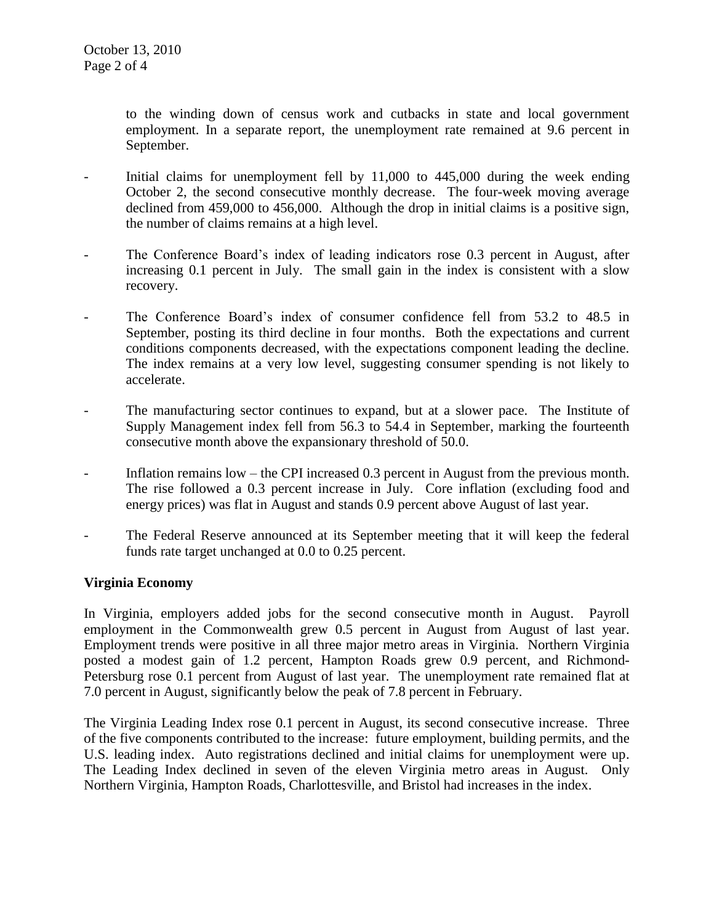to the winding down of census work and cutbacks in state and local government employment. In a separate report, the unemployment rate remained at 9.6 percent in September.

- Initial claims for unemployment fell by  $11,000$  to  $445,000$  during the week ending October 2, the second consecutive monthly decrease. The four-week moving average declined from 459,000 to 456,000. Although the drop in initial claims is a positive sign, the number of claims remains at a high level.
- The Conference Board's index of leading indicators rose 0.3 percent in August, after increasing 0.1 percent in July. The small gain in the index is consistent with a slow recovery.
- The Conference Board's index of consumer confidence fell from 53.2 to 48.5 in September, posting its third decline in four months. Both the expectations and current conditions components decreased, with the expectations component leading the decline. The index remains at a very low level, suggesting consumer spending is not likely to accelerate.
- The manufacturing sector continues to expand, but at a slower pace. The Institute of Supply Management index fell from 56.3 to 54.4 in September, marking the fourteenth consecutive month above the expansionary threshold of 50.0.
- Inflation remains low the CPI increased 0.3 percent in August from the previous month. The rise followed a 0.3 percent increase in July. Core inflation (excluding food and energy prices) was flat in August and stands 0.9 percent above August of last year.
- The Federal Reserve announced at its September meeting that it will keep the federal funds rate target unchanged at 0.0 to 0.25 percent.

#### **Virginia Economy**

In Virginia, employers added jobs for the second consecutive month in August. Payroll employment in the Commonwealth grew 0.5 percent in August from August of last year. Employment trends were positive in all three major metro areas in Virginia. Northern Virginia posted a modest gain of 1.2 percent, Hampton Roads grew 0.9 percent, and Richmond-Petersburg rose 0.1 percent from August of last year. The unemployment rate remained flat at 7.0 percent in August, significantly below the peak of 7.8 percent in February.

The Virginia Leading Index rose 0.1 percent in August, its second consecutive increase. Three of the five components contributed to the increase: future employment, building permits, and the U.S. leading index. Auto registrations declined and initial claims for unemployment were up. The Leading Index declined in seven of the eleven Virginia metro areas in August. Only Northern Virginia, Hampton Roads, Charlottesville, and Bristol had increases in the index.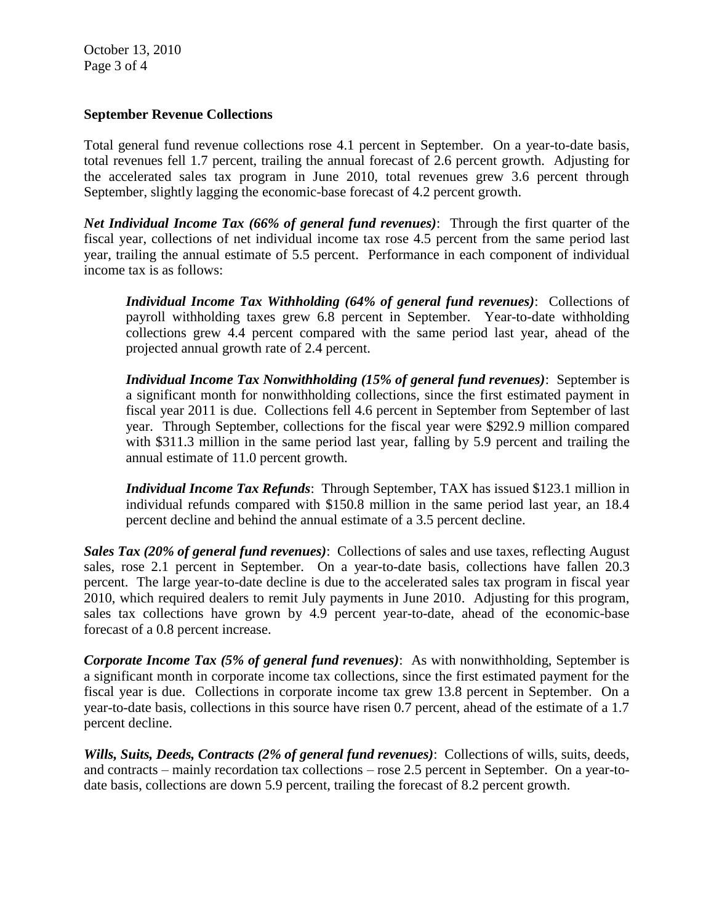October 13, 2010 Page 3 of 4

#### **September Revenue Collections**

Total general fund revenue collections rose 4.1 percent in September. On a year-to-date basis, total revenues fell 1.7 percent, trailing the annual forecast of 2.6 percent growth. Adjusting for the accelerated sales tax program in June 2010, total revenues grew 3.6 percent through September, slightly lagging the economic-base forecast of 4.2 percent growth.

*Net Individual Income Tax (66% of general fund revenues)*: Through the first quarter of the fiscal year, collections of net individual income tax rose 4.5 percent from the same period last year, trailing the annual estimate of 5.5 percent. Performance in each component of individual income tax is as follows:

*Individual Income Tax Withholding (64% of general fund revenues)*: Collections of payroll withholding taxes grew 6.8 percent in September. Year-to-date withholding collections grew 4.4 percent compared with the same period last year, ahead of the projected annual growth rate of 2.4 percent.

*Individual Income Tax Nonwithholding (15% of general fund revenues)*: September is a significant month for nonwithholding collections, since the first estimated payment in fiscal year 2011 is due. Collections fell 4.6 percent in September from September of last year. Through September, collections for the fiscal year were \$292.9 million compared with \$311.3 million in the same period last year, falling by 5.9 percent and trailing the annual estimate of 11.0 percent growth.

*Individual Income Tax Refunds*: Through September, TAX has issued \$123.1 million in individual refunds compared with \$150.8 million in the same period last year, an 18.4 percent decline and behind the annual estimate of a 3.5 percent decline.

*Sales Tax (20% of general fund revenues)*: Collections of sales and use taxes, reflecting August sales, rose 2.1 percent in September. On a year-to-date basis, collections have fallen 20.3 percent. The large year-to-date decline is due to the accelerated sales tax program in fiscal year 2010, which required dealers to remit July payments in June 2010. Adjusting for this program, sales tax collections have grown by 4.9 percent year-to-date, ahead of the economic-base forecast of a 0.8 percent increase.

*Corporate Income Tax (5% of general fund revenues)*: As with nonwithholding, September is a significant month in corporate income tax collections, since the first estimated payment for the fiscal year is due. Collections in corporate income tax grew 13.8 percent in September. On a year-to-date basis, collections in this source have risen 0.7 percent, ahead of the estimate of a 1.7 percent decline.

*Wills, Suits, Deeds, Contracts (2% of general fund revenues)*: Collections of wills, suits, deeds, and contracts – mainly recordation tax collections – rose 2.5 percent in September. On a year-todate basis, collections are down 5.9 percent, trailing the forecast of 8.2 percent growth.